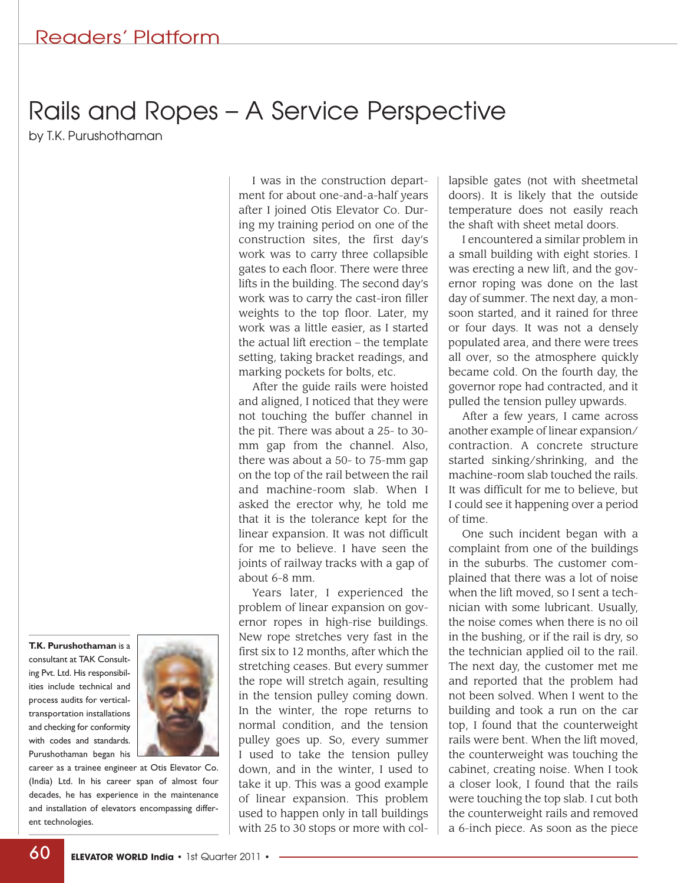## Rails and Ropes – A Service Perspective

by T.K. Purushothaman

**T.K. Purushothaman** is a consultant at TAK Consulting Pvt. Ltd. His responsibilities include technical and process audits for verticaltransportation installations and checking for conformity with codes and standards. Purushothaman began his



career as a trainee engineer at Otis Elevator Co. (India) Ltd. In his career span of almost four decades, he has experience in the maintenance and installation of elevators encompassing different technologies.

I was in the construction department for about one-and-a-half years after I joined Otis Elevator Co. During my training period on one of the construction sites, the first day's work was to carry three collapsible gates to each floor. There were three lifts in the building. The second day's work was to carry the cast-iron filler weights to the top floor. Later, my work was a little easier, as I started the actual lift erection – the template setting, taking bracket readings, and marking pockets for bolts, etc.

After the guide rails were hoisted and aligned, I noticed that they were not touching the buffer channel in the pit. There was about a 25- to 30 mm gap from the channel. Also, there was about a 50- to 75-mm gap on the top of the rail between the rail and machine-room slab. When I asked the erector why, he told me that it is the tolerance kept for the linear expansion. It was not difficult for me to believe. I have seen the joints of railway tracks with a gap of about 6-8 mm.

Years later, I experienced the problem of linear expansion on governor ropes in high-rise buildings. New rope stretches very fast in the first six to 12 months, after which the stretching ceases. But every summer the rope will stretch again, resulting in the tension pulley coming down. In the winter, the rope returns to normal condition, and the tension pulley goes up. So, every summer I used to take the tension pulley down, and in the winter, I used to take it up. This was a good example of linear expansion. This problem used to happen only in tall buildings with 25 to 30 stops or more with collapsible gates (not with sheetmetal doors). It is likely that the outside temperature does not easily reach the shaft with sheet metal doors.

I encountered a similar problem in a small building with eight stories. I was erecting a new lift, and the governor roping was done on the last day of summer. The next day, a monsoon started, and it rained for three or four days. It was not a densely populated area, and there were trees all over, so the atmosphere quickly became cold. On the fourth day, the governor rope had contracted, and it pulled the tension pulley upwards.

After a few years, I came across another example of linear expansion/ contraction. A concrete structure started sinking/shrinking, and the machine-room slab touched the rails. It was difficult for me to believe, but I could see it happening over a period of time.

One such incident began with a complaint from one of the buildings in the suburbs. The customer complained that there was a lot of noise when the lift moved, so I sent a technician with some lubricant. Usually, the noise comes when there is no oil in the bushing, or if the rail is dry, so the technician applied oil to the rail. The next day, the customer met me and reported that the problem had not been solved. When I went to the building and took a run on the car top, I found that the counterweight rails were bent. When the lift moved, the counterweight was touching the cabinet, creating noise. When I took a closer look, I found that the rails were touching the top slab. I cut both the counterweight rails and removed a 6-inch piece. As soon as the piece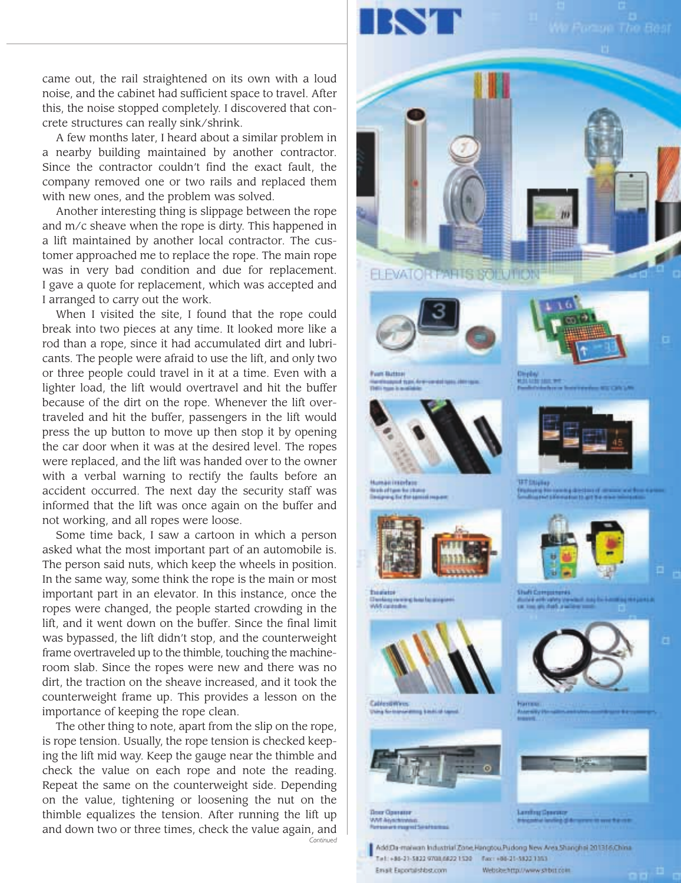

Email: Exportal shipscom

came out, the rail straightened on its own with a loud noise, and the cabinet had sufficient space to travel. After this, the noise stopped completely. I discovered that concrete structures can really sink/shrink.

A few months later, I heard about a similar problem in a nearby building maintained by another contractor. Since the contractor couldn't find the exact fault, the company removed one or two rails and replaced them with new ones, and the problem was solved.

Another interesting thing is slippage between the rope and m/c sheave when the rope is dirty. This happened in a lift maintained by another local contractor. The customer approached me to replace the rope. The main rope was in very bad condition and due for replacement. I gave a quote for replacement, which was accepted and I arranged to carry out the work.

When I visited the site, I found that the rope could break into two pieces at any time. It looked more like a rod than a rope, since it had accumulated dirt and lubricants. The people were afraid to use the lift, and only two or three people could travel in it at a time. Even with a lighter load, the lift would overtravel and hit the buffer because of the dirt on the rope. Whenever the lift overtraveled and hit the buffer, passengers in the lift would press the up button to move up then stop it by opening the car door when it was at the desired level. The ropes were replaced, and the lift was handed over to the owner with a verbal warning to rectify the faults before an accident occurred. The next day the security staff was informed that the lift was once again on the buffer and not working, and all ropes were loose.

Some time back, I saw a cartoon in which a person asked what the most important part of an automobile is. The person said nuts, which keep the wheels in position. In the same way, some think the rope is the main or most important part in an elevator. In this instance, once the ropes were changed, the people started crowding in the lift, and it went down on the buffer. Since the final limit was bypassed, the lift didn't stop, and the counterweight frame overtraveled up to the thimble, touching the machineroom slab. Since the ropes were new and there was no dirt, the traction on the sheave increased, and it took the counterweight frame up. This provides a lesson on the importance of keeping the rope clean.

The other thing to note, apart from the slip on the rope, is rope tension. Usually, the rope tension is checked keeping the lift mid way. Keep the gauge near the thimble and check the value on each rope and note the reading. Repeat the same on the counterweight side. Depending on the value, tightening or loosening the nut on the thimble equalizes the tension. After running the lift up and down two or three times, check the value again, and *Continued*



Website http://www.shbit.com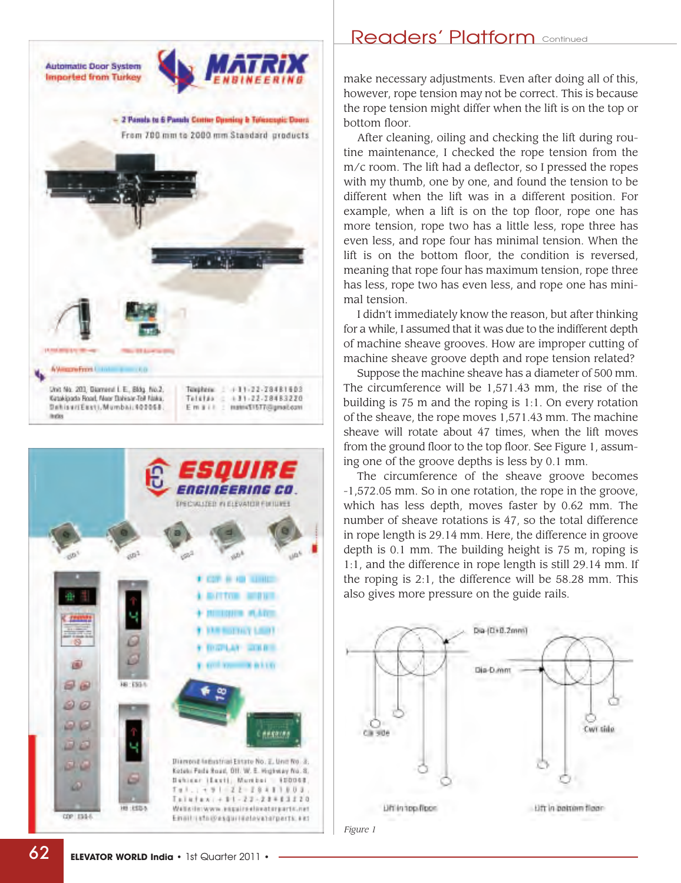



## Readers' Platform **Continued**

make necessary adjustments. Even after doing all of this, however, rope tension may not be correct. This is because the rope tension might differ when the lift is on the top or bottom floor.

After cleaning, oiling and checking the lift during routine maintenance, I checked the rope tension from the m/c room. The lift had a deflector, so I pressed the ropes with my thumb, one by one, and found the tension to be different when the lift was in a different position. For example, when a lift is on the top floor, rope one has more tension, rope two has a little less, rope three has even less, and rope four has minimal tension. When the lift is on the bottom floor, the condition is reversed, meaning that rope four has maximum tension, rope three has less, rope two has even less, and rope one has minimal tension.

I didn't immediately know the reason, but after thinking for a while, I assumed that it was due to the indifferent depth of machine sheave grooves. How are improper cutting of machine sheave groove depth and rope tension related?

Suppose the machine sheave has a diameter of 500 mm. The circumference will be 1,571.43 mm, the rise of the building is 75 m and the roping is 1:1. On every rotation of the sheave, the rope moves 1,571.43 mm. The machine sheave will rotate about 47 times, when the lift moves from the ground floor to the top floor. See Figure 1, assuming one of the groove depths is less by 0.1 mm.

The circumference of the sheave groove becomes -1,572.05 mm. So in one rotation, the rope in the groove, which has less depth, moves faster by 0.62 mm. The number of sheave rotations is 47, so the total difference in rope length is 29.14 mm. Here, the difference in groove depth is 0.1 mm. The building height is 75 m, roping is 1:1, and the difference in rope length is still 29.14 mm. If the roping is 2:1, the difference will be 58.28 mm. This also gives more pressure on the guide rails.